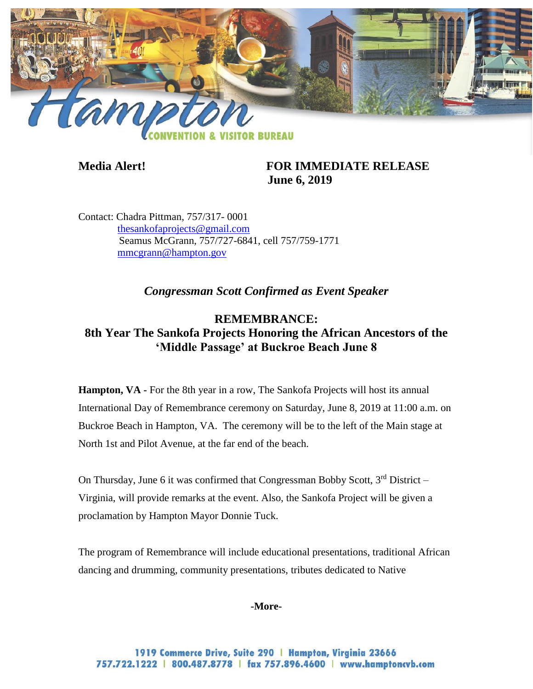

## **Media Alert! FOR IMMEDIATE RELEASE June 6, 2019**

Contact: Chadra Pittman, 757/317- 0001 [thesankofaprojects@gmail.com](mailto:thesankofaprojects@gmail.com)  Seamus McGrann, 757/727-6841, cell 757/759-1771 [mmcgrann@hampton.gov](mailto:mmcgrann@hampton.gov)

*Congressman Scott Confirmed as Event Speaker*

## **REMEMBRANCE: 8th Year The Sankofa Projects Honoring the African Ancestors of the 'Middle Passage' at Buckroe Beach June 8**

**Hampton, VA** - For the 8th year in a row, The Sankofa Projects will host its annual International Day of Remembrance ceremony on Saturday, June 8, 2019 at 11:00 a.m. on Buckroe Beach in Hampton, VA. The ceremony will be to the left of the Main stage at North 1st and Pilot Avenue, at the far end of the beach.

On Thursday, June 6 it was confirmed that Congressman Bobby Scott,  $3<sup>rd</sup>$  District – Virginia, will provide remarks at the event. Also, the Sankofa Project will be given a proclamation by Hampton Mayor Donnie Tuck.

The program of Remembrance will include educational presentations, traditional African dancing and drumming, community presentations, tributes dedicated to Native

**-More-**

1919 Commerce Drive, Suite 290 | Hampton, Virginia 23666 757.722.1222 | 800.487.8778 | fax 757.896.4600 | www.hamptoncvb.com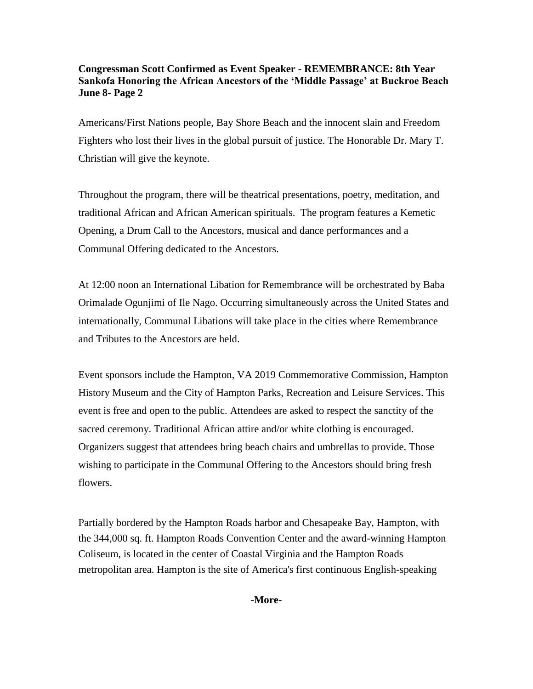## **Congressman Scott Confirmed as Event Speaker - REMEMBRANCE: 8th Year Sankofa Honoring the African Ancestors of the 'Middle Passage' at Buckroe Beach June 8- Page 2**

Americans/First Nations people, Bay Shore Beach and the innocent slain and Freedom Fighters who lost their lives in the global pursuit of justice. The Honorable Dr. Mary T. Christian will give the keynote.

Throughout the program, there will be theatrical presentations, poetry, meditation, and traditional African and African American spirituals. The program features a Kemetic Opening, a Drum Call to the Ancestors, musical and dance performances and a Communal Offering dedicated to the Ancestors.

At 12:00 noon an International Libation for Remembrance will be orchestrated by Baba Orimalade Ogunjimi of Ile Nago. Occurring simultaneously across the United States and internationally, Communal Libations will take place in the cities where Remembrance and Tributes to the Ancestors are held.

Event sponsors include the Hampton, VA 2019 Commemorative Commission, Hampton History Museum and the City of Hampton Parks, Recreation and Leisure Services. This event is free and open to the public. Attendees are asked to respect the sanctity of the sacred ceremony. Traditional African attire and/or white clothing is encouraged. Organizers suggest that attendees bring beach chairs and umbrellas to provide. Those wishing to participate in the Communal Offering to the Ancestors should bring fresh flowers.

Partially bordered by the Hampton Roads harbor and Chesapeake Bay, Hampton, with the 344,000 sq. ft. Hampton Roads Convention Center and the award-winning Hampton Coliseum, is located in the center of Coastal Virginia and the Hampton Roads metropolitan area. Hampton is the site of America's first continuous English-speaking

**-More-**